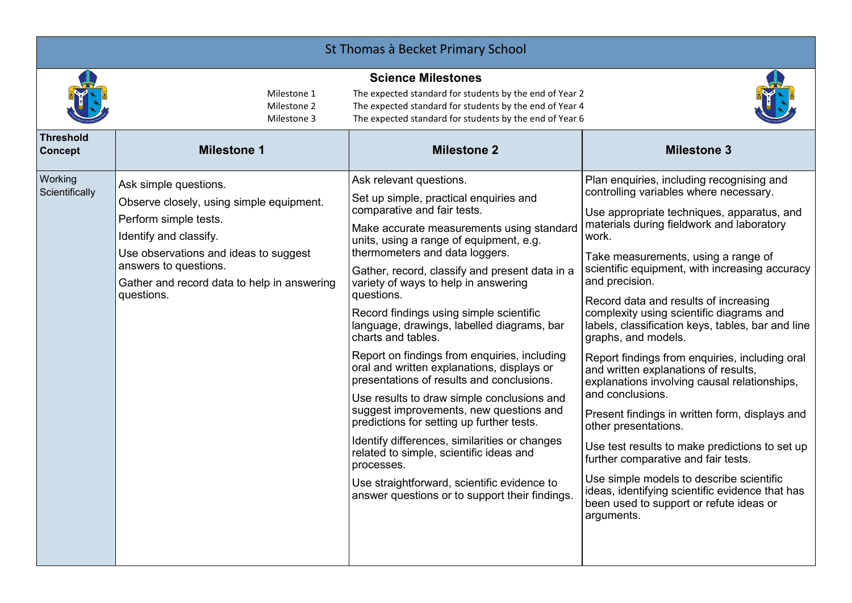| St Thomas à Becket Primary School  |                                                                                                                                                                                                                                                     |                                                                                                                                                                                                                                                                                                                                                                                                                                                                                                                                                                                                                                                                                                                                                                                                                                                                                                                                               |                                                                                                                                                                                                                                                                                                                                                                                                                                                                                                                                                                                                                                                                                                                                                                                                                                                                                                                                                              |
|------------------------------------|-----------------------------------------------------------------------------------------------------------------------------------------------------------------------------------------------------------------------------------------------------|-----------------------------------------------------------------------------------------------------------------------------------------------------------------------------------------------------------------------------------------------------------------------------------------------------------------------------------------------------------------------------------------------------------------------------------------------------------------------------------------------------------------------------------------------------------------------------------------------------------------------------------------------------------------------------------------------------------------------------------------------------------------------------------------------------------------------------------------------------------------------------------------------------------------------------------------------|--------------------------------------------------------------------------------------------------------------------------------------------------------------------------------------------------------------------------------------------------------------------------------------------------------------------------------------------------------------------------------------------------------------------------------------------------------------------------------------------------------------------------------------------------------------------------------------------------------------------------------------------------------------------------------------------------------------------------------------------------------------------------------------------------------------------------------------------------------------------------------------------------------------------------------------------------------------|
|                                    | Milestone 1<br>Milestone 2<br>Milestone 3                                                                                                                                                                                                           | <b>Science Milestones</b><br>The expected standard for students by the end of Year 2<br>The expected standard for students by the end of Year 4<br>The expected standard for students by the end of Year 6                                                                                                                                                                                                                                                                                                                                                                                                                                                                                                                                                                                                                                                                                                                                    |                                                                                                                                                                                                                                                                                                                                                                                                                                                                                                                                                                                                                                                                                                                                                                                                                                                                                                                                                              |
| <b>Threshold</b><br><b>Concept</b> | <b>Milestone 1</b>                                                                                                                                                                                                                                  | <b>Milestone 2</b>                                                                                                                                                                                                                                                                                                                                                                                                                                                                                                                                                                                                                                                                                                                                                                                                                                                                                                                            | <b>Milestone 3</b>                                                                                                                                                                                                                                                                                                                                                                                                                                                                                                                                                                                                                                                                                                                                                                                                                                                                                                                                           |
| Working<br>Scientifically          | Ask simple questions.<br>Observe closely, using simple equipment.<br>Perform simple tests.<br>Identify and classify.<br>Use observations and ideas to suggest<br>answers to questions.<br>Gather and record data to help in answering<br>questions. | Ask relevant questions.<br>Set up simple, practical enquiries and<br>comparative and fair tests.<br>Make accurate measurements using standard<br>units, using a range of equipment, e.g.<br>thermometers and data loggers.<br>Gather, record, classify and present data in a<br>variety of ways to help in answering<br>questions.<br>Record findings using simple scientific<br>language, drawings, labelled diagrams, bar<br>charts and tables.<br>Report on findings from enquiries, including<br>oral and written explanations, displays or<br>presentations of results and conclusions.<br>Use results to draw simple conclusions and<br>suggest improvements, new questions and<br>predictions for setting up further tests.<br>Identify differences, similarities or changes<br>related to simple, scientific ideas and<br>processes.<br>Use straightforward, scientific evidence to<br>answer questions or to support their findings. | Plan enquiries, including recognising and<br>controlling variables where necessary.<br>Use appropriate techniques, apparatus, and<br>materials during fieldwork and laboratory<br>work.<br>Take measurements, using a range of<br>scientific equipment, with increasing accuracy<br>and precision.<br>Record data and results of increasing<br>complexity using scientific diagrams and<br>labels, classification keys, tables, bar and line<br>graphs, and models.<br>Report findings from enquiries, including oral<br>and written explanations of results,<br>explanations involving causal relationships,<br>and conclusions.<br>Present findings in written form, displays and<br>other presentations.<br>Use test results to make predictions to set up<br>further comparative and fair tests.<br>Use simple models to describe scientific<br>ideas, identifying scientific evidence that has<br>been used to support or refute ideas or<br>arguments. |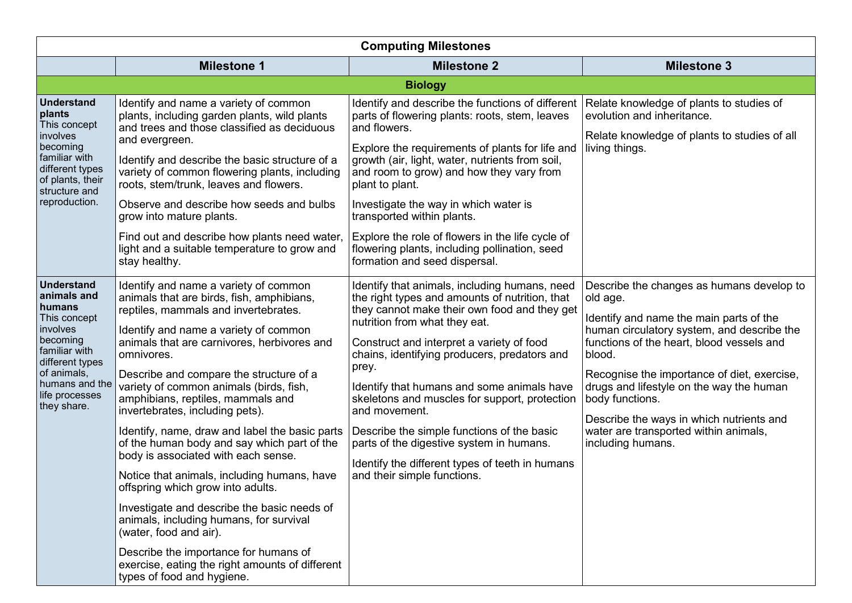| <b>Computing Milestones</b>                                                                                                                                                              |                                                                                                                                                                                                                                                                                                                                                                                                                                                                                                                                                                                                                                                                                                                                                                                                                                                                          |                                                                                                                                                                                                                                                                                                                                                                                                                                                                                                                                                                                    |                                                                                                                                                                                                                                                                                                                                                                                                                               |
|------------------------------------------------------------------------------------------------------------------------------------------------------------------------------------------|--------------------------------------------------------------------------------------------------------------------------------------------------------------------------------------------------------------------------------------------------------------------------------------------------------------------------------------------------------------------------------------------------------------------------------------------------------------------------------------------------------------------------------------------------------------------------------------------------------------------------------------------------------------------------------------------------------------------------------------------------------------------------------------------------------------------------------------------------------------------------|------------------------------------------------------------------------------------------------------------------------------------------------------------------------------------------------------------------------------------------------------------------------------------------------------------------------------------------------------------------------------------------------------------------------------------------------------------------------------------------------------------------------------------------------------------------------------------|-------------------------------------------------------------------------------------------------------------------------------------------------------------------------------------------------------------------------------------------------------------------------------------------------------------------------------------------------------------------------------------------------------------------------------|
|                                                                                                                                                                                          | <b>Milestone 1</b>                                                                                                                                                                                                                                                                                                                                                                                                                                                                                                                                                                                                                                                                                                                                                                                                                                                       | <b>Milestone 2</b>                                                                                                                                                                                                                                                                                                                                                                                                                                                                                                                                                                 | <b>Milestone 3</b>                                                                                                                                                                                                                                                                                                                                                                                                            |
|                                                                                                                                                                                          |                                                                                                                                                                                                                                                                                                                                                                                                                                                                                                                                                                                                                                                                                                                                                                                                                                                                          | <b>Biology</b>                                                                                                                                                                                                                                                                                                                                                                                                                                                                                                                                                                     |                                                                                                                                                                                                                                                                                                                                                                                                                               |
| <b>Understand</b><br>plants<br>This concept<br>involves<br>becoming<br>familiar with<br>different types<br>of plants, their<br>structure and<br>reproduction.                            | Identify and name a variety of common<br>plants, including garden plants, wild plants<br>and trees and those classified as deciduous<br>and evergreen.<br>Identify and describe the basic structure of a<br>variety of common flowering plants, including<br>roots, stem/trunk, leaves and flowers.<br>Observe and describe how seeds and bulbs<br>grow into mature plants.<br>Find out and describe how plants need water,<br>light and a suitable temperature to grow and<br>stay healthy.                                                                                                                                                                                                                                                                                                                                                                             | Identify and describe the functions of different<br>parts of flowering plants: roots, stem, leaves<br>and flowers.<br>Explore the requirements of plants for life and<br>growth (air, light, water, nutrients from soil,<br>and room to grow) and how they vary from<br>plant to plant.<br>Investigate the way in which water is<br>transported within plants.<br>Explore the role of flowers in the life cycle of<br>flowering plants, including pollination, seed<br>formation and seed dispersal.                                                                               | Relate knowledge of plants to studies of<br>evolution and inheritance.<br>Relate knowledge of plants to studies of all<br>living things.                                                                                                                                                                                                                                                                                      |
| <b>Understand</b><br>animals and<br>humans<br>This concept<br>involves<br>becoming<br>familiar with<br>different types<br>of animals,<br>humans and the<br>life processes<br>they share. | Identify and name a variety of common<br>animals that are birds, fish, amphibians,<br>reptiles, mammals and invertebrates.<br>Identify and name a variety of common<br>animals that are carnivores, herbivores and<br>omnivores.<br>Describe and compare the structure of a<br>variety of common animals (birds, fish,<br>amphibians, reptiles, mammals and<br>invertebrates, including pets).<br>Identify, name, draw and label the basic parts<br>of the human body and say which part of the<br>body is associated with each sense.<br>Notice that animals, including humans, have<br>offspring which grow into adults.<br>Investigate and describe the basic needs of<br>animals, including humans, for survival<br>(water, food and air).<br>Describe the importance for humans of<br>exercise, eating the right amounts of different<br>types of food and hygiene. | Identify that animals, including humans, need<br>the right types and amounts of nutrition, that<br>they cannot make their own food and they get<br>nutrition from what they eat.<br>Construct and interpret a variety of food<br>chains, identifying producers, predators and<br>prey.<br>Identify that humans and some animals have<br>skeletons and muscles for support, protection<br>and movement.<br>Describe the simple functions of the basic<br>parts of the digestive system in humans.<br>Identify the different types of teeth in humans<br>and their simple functions. | Describe the changes as humans develop to<br>old age.<br>Identify and name the main parts of the<br>human circulatory system, and describe the<br>functions of the heart, blood vessels and<br>blood.<br>Recognise the importance of diet, exercise,<br>drugs and lifestyle on the way the human<br>body functions.<br>Describe the ways in which nutrients and<br>water are transported within animals,<br>including humans. |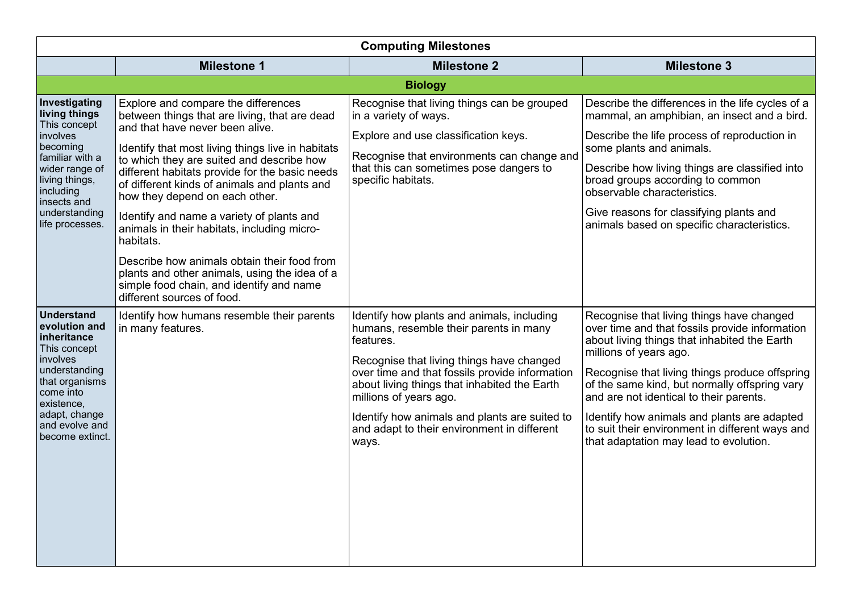| <b>Computing Milestones</b>                                                                                                                                                                       |                                                                                                                                                                                                                                                                                                                                                                                                                                                                                                                                                                                                                                                  |                                                                                                                                                                                                                                                                                                                                                                                     |                                                                                                                                                                                                                                                                                                                                                                                                                                                                 |
|---------------------------------------------------------------------------------------------------------------------------------------------------------------------------------------------------|--------------------------------------------------------------------------------------------------------------------------------------------------------------------------------------------------------------------------------------------------------------------------------------------------------------------------------------------------------------------------------------------------------------------------------------------------------------------------------------------------------------------------------------------------------------------------------------------------------------------------------------------------|-------------------------------------------------------------------------------------------------------------------------------------------------------------------------------------------------------------------------------------------------------------------------------------------------------------------------------------------------------------------------------------|-----------------------------------------------------------------------------------------------------------------------------------------------------------------------------------------------------------------------------------------------------------------------------------------------------------------------------------------------------------------------------------------------------------------------------------------------------------------|
|                                                                                                                                                                                                   | <b>Milestone 1</b>                                                                                                                                                                                                                                                                                                                                                                                                                                                                                                                                                                                                                               | <b>Milestone 2</b>                                                                                                                                                                                                                                                                                                                                                                  | <b>Milestone 3</b>                                                                                                                                                                                                                                                                                                                                                                                                                                              |
|                                                                                                                                                                                                   |                                                                                                                                                                                                                                                                                                                                                                                                                                                                                                                                                                                                                                                  | <b>Biology</b>                                                                                                                                                                                                                                                                                                                                                                      |                                                                                                                                                                                                                                                                                                                                                                                                                                                                 |
| Investigating<br>living things<br>This concept<br>involves<br>becoming<br>familiar with a<br>wider range of<br>living things,<br>including<br>insects and<br>understanding<br>life processes.     | Explore and compare the differences<br>between things that are living, that are dead<br>and that have never been alive.<br>Identify that most living things live in habitats<br>to which they are suited and describe how<br>different habitats provide for the basic needs<br>of different kinds of animals and plants and<br>how they depend on each other.<br>Identify and name a variety of plants and<br>animals in their habitats, including micro-<br>habitats.<br>Describe how animals obtain their food from<br>plants and other animals, using the idea of a<br>simple food chain, and identify and name<br>different sources of food. | Recognise that living things can be grouped<br>in a variety of ways.<br>Explore and use classification keys.<br>Recognise that environments can change and<br>that this can sometimes pose dangers to<br>specific habitats.                                                                                                                                                         | Describe the differences in the life cycles of a<br>mammal, an amphibian, an insect and a bird.<br>Describe the life process of reproduction in<br>some plants and animals.<br>Describe how living things are classified into<br>broad groups according to common<br>observable characteristics.<br>Give reasons for classifying plants and<br>animals based on specific characteristics.                                                                       |
| <b>Understand</b><br>evolution and<br>inheritance<br>This concept<br>involves<br>understanding<br>that organisms<br>come into<br>existence,<br>adapt, change<br>and evolve and<br>become extinct. | Identify how humans resemble their parents<br>in many features.                                                                                                                                                                                                                                                                                                                                                                                                                                                                                                                                                                                  | Identify how plants and animals, including<br>humans, resemble their parents in many<br>features.<br>Recognise that living things have changed<br>over time and that fossils provide information<br>about living things that inhabited the Earth<br>millions of years ago.<br>Identify how animals and plants are suited to<br>and adapt to their environment in different<br>ways. | Recognise that living things have changed<br>over time and that fossils provide information<br>about living things that inhabited the Earth<br>millions of years ago.<br>Recognise that living things produce offspring<br>of the same kind, but normally offspring vary<br>and are not identical to their parents.<br>Identify how animals and plants are adapted<br>to suit their environment in different ways and<br>that adaptation may lead to evolution. |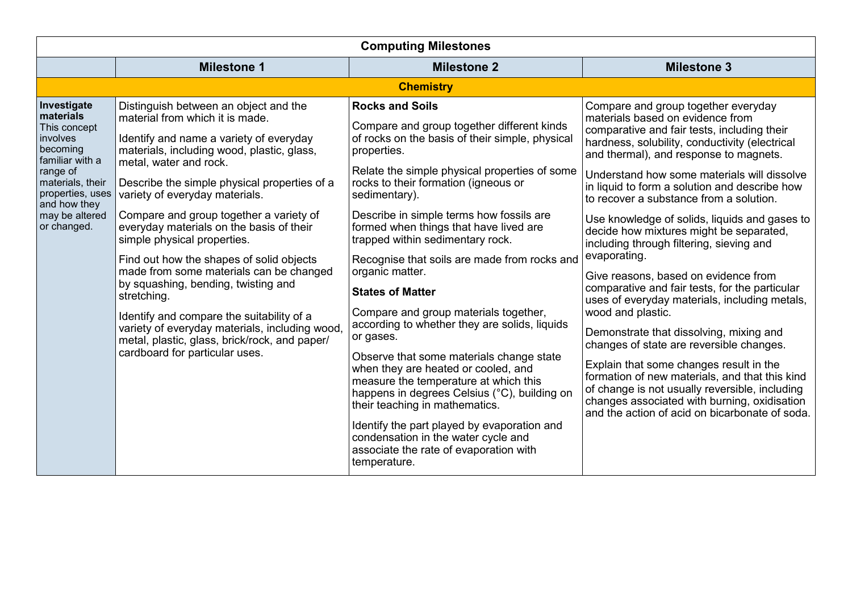| <b>Milestone 1</b><br><b>Milestone 2</b><br><b>Chemistry</b>                                                                                                                                                                                                                                                                                                                                                                                                                                                                                                                                                                                                                                                                                                                                                                                                                                                                                                                                                                                                                                                                                                                                                                                                                                                                                                                                                                                                                                                                                                                                                                                                                                                                                                                                                          | <b>Milestone 3</b><br>Compare and group together everyday                                                                                                                                                                                                                                                                                                                                                                                                                                                                                                                                                                                                                                                                                                                                                                                                                                                                                                                              |
|-----------------------------------------------------------------------------------------------------------------------------------------------------------------------------------------------------------------------------------------------------------------------------------------------------------------------------------------------------------------------------------------------------------------------------------------------------------------------------------------------------------------------------------------------------------------------------------------------------------------------------------------------------------------------------------------------------------------------------------------------------------------------------------------------------------------------------------------------------------------------------------------------------------------------------------------------------------------------------------------------------------------------------------------------------------------------------------------------------------------------------------------------------------------------------------------------------------------------------------------------------------------------------------------------------------------------------------------------------------------------------------------------------------------------------------------------------------------------------------------------------------------------------------------------------------------------------------------------------------------------------------------------------------------------------------------------------------------------------------------------------------------------------------------------------------------------|----------------------------------------------------------------------------------------------------------------------------------------------------------------------------------------------------------------------------------------------------------------------------------------------------------------------------------------------------------------------------------------------------------------------------------------------------------------------------------------------------------------------------------------------------------------------------------------------------------------------------------------------------------------------------------------------------------------------------------------------------------------------------------------------------------------------------------------------------------------------------------------------------------------------------------------------------------------------------------------|
|                                                                                                                                                                                                                                                                                                                                                                                                                                                                                                                                                                                                                                                                                                                                                                                                                                                                                                                                                                                                                                                                                                                                                                                                                                                                                                                                                                                                                                                                                                                                                                                                                                                                                                                                                                                                                       |                                                                                                                                                                                                                                                                                                                                                                                                                                                                                                                                                                                                                                                                                                                                                                                                                                                                                                                                                                                        |
|                                                                                                                                                                                                                                                                                                                                                                                                                                                                                                                                                                                                                                                                                                                                                                                                                                                                                                                                                                                                                                                                                                                                                                                                                                                                                                                                                                                                                                                                                                                                                                                                                                                                                                                                                                                                                       |                                                                                                                                                                                                                                                                                                                                                                                                                                                                                                                                                                                                                                                                                                                                                                                                                                                                                                                                                                                        |
| Distinguish between an object and the<br><b>Rocks and Soils</b><br>Investigate<br>materials<br>material from which it is made.<br>Compare and group together different kinds<br>This concept<br>of rocks on the basis of their simple, physical<br>Identify and name a variety of everyday<br>involves<br>becoming<br>materials, including wood, plastic, glass,<br>properties.<br>familiar with a<br>metal, water and rock.<br>Relate the simple physical properties of some<br>range of<br>rocks to their formation (igneous or<br>materials, their<br>Describe the simple physical properties of a<br>properties, uses<br>variety of everyday materials.<br>sedimentary).<br>and how they<br>Compare and group together a variety of<br>Describe in simple terms how fossils are<br>may be altered<br>everyday materials on the basis of their<br>or changed.<br>formed when things that have lived are<br>trapped within sedimentary rock.<br>simple physical properties.<br>Find out how the shapes of solid objects<br>Recognise that soils are made from rocks and<br>made from some materials can be changed<br>organic matter.<br>by squashing, bending, twisting and<br><b>States of Matter</b><br>stretching.<br>Compare and group materials together,<br>Identify and compare the suitability of a<br>according to whether they are solids, liquids<br>variety of everyday materials, including wood,<br>or gases.<br>metal, plastic, glass, brick/rock, and paper/<br>cardboard for particular uses.<br>Observe that some materials change state<br>when they are heated or cooled, and<br>measure the temperature at which this<br>happens in degrees Celsius (°C), building on<br>their teaching in mathematics.<br>Identify the part played by evaporation and<br>condensation in the water cycle and | materials based on evidence from<br>comparative and fair tests, including their<br>hardness, solubility, conductivity (electrical<br>and thermal), and response to magnets.<br>Understand how some materials will dissolve<br>in liquid to form a solution and describe how<br>to recover a substance from a solution.<br>Use knowledge of solids, liquids and gases to<br>decide how mixtures might be separated,<br>including through filtering, sieving and<br>evaporating.<br>Give reasons, based on evidence from<br>comparative and fair tests, for the particular<br>uses of everyday materials, including metals,<br>wood and plastic.<br>Demonstrate that dissolving, mixing and<br>changes of state are reversible changes.<br>Explain that some changes result in the<br>formation of new materials, and that this kind<br>of change is not usually reversible, including<br>changes associated with burning, oxidisation<br>and the action of acid on bicarbonate of soda. |
| associate the rate of evaporation with<br>temperature.                                                                                                                                                                                                                                                                                                                                                                                                                                                                                                                                                                                                                                                                                                                                                                                                                                                                                                                                                                                                                                                                                                                                                                                                                                                                                                                                                                                                                                                                                                                                                                                                                                                                                                                                                                |                                                                                                                                                                                                                                                                                                                                                                                                                                                                                                                                                                                                                                                                                                                                                                                                                                                                                                                                                                                        |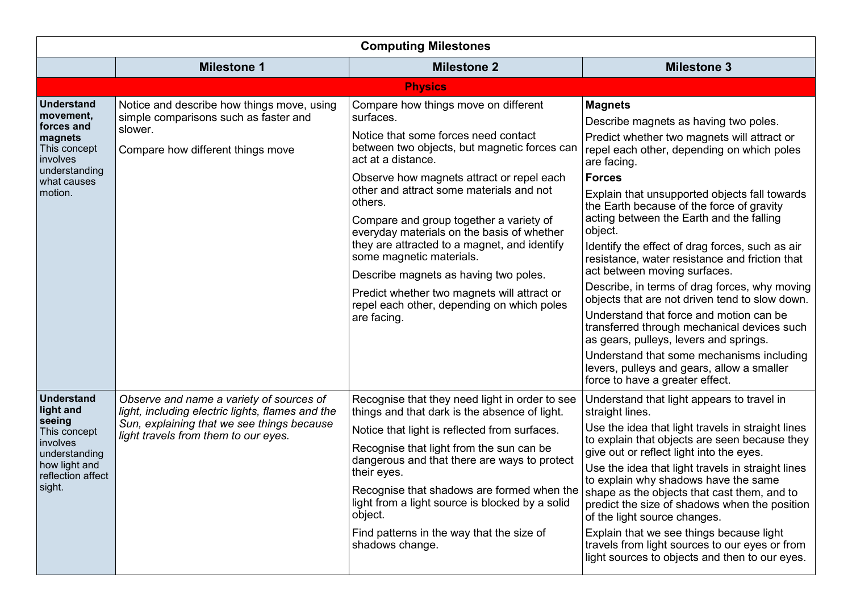| <b>Computing Milestones</b>                                                                                                           |                                                                                                                                                                                    |                                                                                                                                                                                                                                                                                                                                                                                                                                                                                                                                                                                               |                                                                                                                                                                                                                                                                                                                                                                                                                                                                                                                                                                                                                                                                                                                                                                                                                                                     |
|---------------------------------------------------------------------------------------------------------------------------------------|------------------------------------------------------------------------------------------------------------------------------------------------------------------------------------|-----------------------------------------------------------------------------------------------------------------------------------------------------------------------------------------------------------------------------------------------------------------------------------------------------------------------------------------------------------------------------------------------------------------------------------------------------------------------------------------------------------------------------------------------------------------------------------------------|-----------------------------------------------------------------------------------------------------------------------------------------------------------------------------------------------------------------------------------------------------------------------------------------------------------------------------------------------------------------------------------------------------------------------------------------------------------------------------------------------------------------------------------------------------------------------------------------------------------------------------------------------------------------------------------------------------------------------------------------------------------------------------------------------------------------------------------------------------|
|                                                                                                                                       | <b>Milestone 1</b>                                                                                                                                                                 | <b>Milestone 2</b>                                                                                                                                                                                                                                                                                                                                                                                                                                                                                                                                                                            | <b>Milestone 3</b>                                                                                                                                                                                                                                                                                                                                                                                                                                                                                                                                                                                                                                                                                                                                                                                                                                  |
|                                                                                                                                       |                                                                                                                                                                                    | <b>Physics</b>                                                                                                                                                                                                                                                                                                                                                                                                                                                                                                                                                                                |                                                                                                                                                                                                                                                                                                                                                                                                                                                                                                                                                                                                                                                                                                                                                                                                                                                     |
| <b>Understand</b><br>movement,<br>forces and<br>magnets<br>This concept<br>involves<br>understanding<br>what causes<br>motion.        | Notice and describe how things move, using<br>simple comparisons such as faster and<br>slower.<br>Compare how different things move                                                | Compare how things move on different<br>surfaces.<br>Notice that some forces need contact<br>between two objects, but magnetic forces can<br>act at a distance.<br>Observe how magnets attract or repel each<br>other and attract some materials and not<br>others.<br>Compare and group together a variety of<br>everyday materials on the basis of whether<br>they are attracted to a magnet, and identify<br>some magnetic materials.<br>Describe magnets as having two poles.<br>Predict whether two magnets will attract or<br>repel each other, depending on which poles<br>are facing. | <b>Magnets</b><br>Describe magnets as having two poles.<br>Predict whether two magnets will attract or<br>repel each other, depending on which poles<br>are facing.<br><b>Forces</b><br>Explain that unsupported objects fall towards<br>the Earth because of the force of gravity<br>acting between the Earth and the falling<br>object.<br>Identify the effect of drag forces, such as air<br>resistance, water resistance and friction that<br>act between moving surfaces.<br>Describe, in terms of drag forces, why moving<br>objects that are not driven tend to slow down.<br>Understand that force and motion can be<br>transferred through mechanical devices such<br>as gears, pulleys, levers and springs.<br>Understand that some mechanisms including<br>levers, pulleys and gears, allow a smaller<br>force to have a greater effect. |
| <b>Understand</b><br>light and<br>seeing<br>This concept<br>involves<br>understanding<br>how light and<br>reflection affect<br>sight. | Observe and name a variety of sources of<br>light, including electric lights, flames and the<br>Sun, explaining that we see things because<br>light travels from them to our eyes. | Recognise that they need light in order to see<br>things and that dark is the absence of light.<br>Notice that light is reflected from surfaces.<br>Recognise that light from the sun can be<br>dangerous and that there are ways to protect<br>their eyes.<br>Recognise that shadows are formed when the<br>light from a light source is blocked by a solid<br>object.<br>Find patterns in the way that the size of<br>shadows change.                                                                                                                                                       | Understand that light appears to travel in<br>straight lines.<br>Use the idea that light travels in straight lines<br>to explain that objects are seen because they<br>give out or reflect light into the eyes.<br>Use the idea that light travels in straight lines<br>to explain why shadows have the same<br>shape as the objects that cast them, and to<br>predict the size of shadows when the position<br>of the light source changes.<br>Explain that we see things because light<br>travels from light sources to our eyes or from<br>light sources to objects and then to our eyes.                                                                                                                                                                                                                                                        |